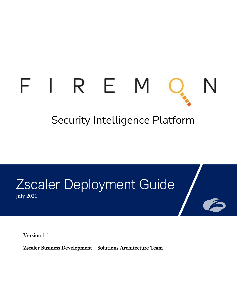# FIREM

# Security Intelligence Platform

## Zscaler Deployment Guide July 2021

Version 1.1

Zscaler Business Development – Solutions Architecture Team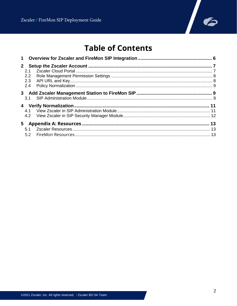

## **Table of Contents**

| 2.1<br>2.2<br>2.3<br>2.4 |  |
|--------------------------|--|
| 3.1                      |  |
|                          |  |
|                          |  |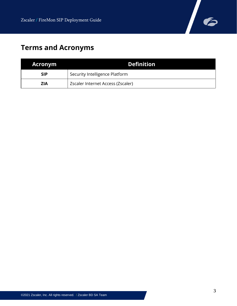

## **Terms and Acronyms**

| <b>Acronym</b> | <b>Definition</b>                 |
|----------------|-----------------------------------|
| <b>SIP</b>     | Security Intelligence Platform    |
| <b>ZIA</b>     | Zscaler Internet Access (Zscaler) |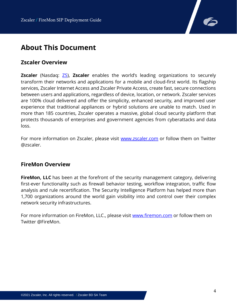

## **About This Document**

#### **Zscaler Overview**

**Zscaler** (Nasdaq: **[ZS\)](https://www.nasdaq.com/market-activity/stocks/zs), Zscaler** enables the world's leading organizations to securely transform their networks and applications for a mobile and cloud-first world. Its flagship services, Zscaler Internet Access and Zscaler Private Access, create fast, secure connections between users and applications, regardless of device, location, or network. Zscaler services are 100% cloud delivered and offer the simplicity, enhanced security, and improved user experience that traditional appliances or hybrid solutions are unable to match. Used in more than 185 countries, Zscaler operates a massive, global cloud security platform that protects thousands of enterprises and government agencies from cyberattacks and data loss.

For more information on Zscaler, please visit [www.zscaler.com](http://www.zscaler.com/) or follow them on Twitter @zscaler.

#### **FireMon Overview**

**FireMon, LLC** has been at the forefront of the security management category, delivering first-ever functionality such as firewall behavior testing, workflow integration, traffic flow analysis and rule recertification. The Security Intelligence Platform has helped more than 1,700 organizations around the world gain visibility into and control over their complex network security infrastructures.

For more information on FireMon, LLC., please visit [www.firemon.com](http://www.firemon.com/) or follow them on Twitter @FireMon.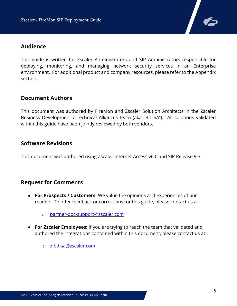

#### **Audience**

This guide is written for Zscaler Administrators and SIP Administrators responsible for deploying, monitoring, and managing network security services in an Enterprise environment. For additional product and company resources, please refer to the Appendix section.

#### **Document Authors**

This document was authored by FireMon and Zscaler Solution Architects in the Zscaler Business Development / Technical Alliances team (aka "BD SA"). All solutions validated within this guide have been jointly reviewed by both vendors.

#### **Software Revisions**

This document was authored using Zscaler Internet Access v6.0 and SIP Release 9.3.

#### **Request for Comments**

- **For Prospects / Customers:** We value the opinions and experiences of our readers. To offer feedback or corrections for this guide, please contact us at:
	- o [partner-doc-support@zscaler.com](mailto:partner-doc-support@zscaler.com)
- **For Zscaler Employees:** If you are trying to reach the team that validated and authored the integrations contained within this document, please contact us at:
	- o z-bd-sa@zscaler.com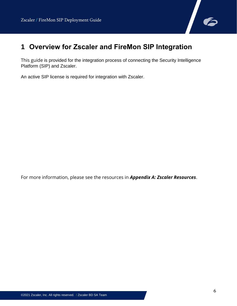

## <span id="page-5-0"></span>**1 Overview for Zscaler and FireMon SIP Integration**

This guide is provided for the integration process of connecting the Security Intelligence Platform (SIP) and Zscaler.

An active SIP license is required for integration with Zscaler.

For more information, please see the resources in *Appendix A: Zscaler Resources*.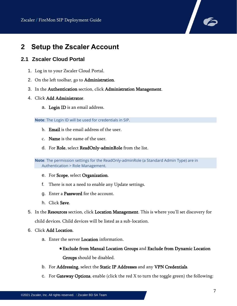

## <span id="page-6-0"></span>**2 Setup the Zscaler Account**

#### <span id="page-6-1"></span>**2.1 Zscaler Cloud Portal**

- 1. Log in to your Zscaler Cloud Portal.
- 2. On the left toolbar, go to Administration.
- 3. In the Authentication section, click Administration Management.
- 4. Click Add Administrator.
	- a. Login ID is an email address.

**Note**: The Login ID will be used for credentials in SIP.

- b. **Email** is the email address of the user.
- c. Name is the name of the user.
- d. For Role, select ReadOnly-adminRole from the list.

**Note**: The permission settings for the ReadOnly-adminRole (a Standard Admin Type) are in Authentication > Role Management.

- e. For Scope, select Organization.
- f. There is not a need to enable any Update settings.
- g. Enter a Password for the account.
- h. Click Save.
- 5. In the Resources section, click Location Management. This is where you'll set discovery for child devices. Child devices will be listed as a sub-location.
- 6. Click Add Location.
	- a. Enter the server Location information.
		- ●Exclude from Manual Location Groups and Exclude from Dynamic Location Groups should be disabled.
	- b. For Addressing, select the Static IP Addresses and any VPN Credentials.
	- c. For Gateway Options, enable (click the red  $X$  to turn the toggle green) the following: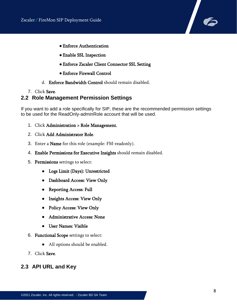

- ●Enforce Authentication
- ●Enable SSL Inspection
- ●Enforce Zscaler Client Connector SSL Setting
- ●Enforce Firewall Control
- d. Enforce Bandwidth Control should remain disabled.
- 7. Click Save.

#### <span id="page-7-0"></span>**2.2 Role Management Permission Settings**

If you want to add a role specifically for SIP, these are the recommended permission settings to be used for the ReadOnly-adminRole account that will be used.

- 1. Click Administration > Role Management.
- 2. Click Add Administrator Role.
- 3. Enter a Name for this role (example: FM-readonly).
- 4. Enable Permissions for Executive Insights should remain disabled.
- 5. Permissions settings to select:
	- Logs Limit (Days): Unrestricted
	- Dashboard Access: View Only
	- Reporting Access: Full
	- Insights Access: View Only
	- Policy Access: View Only
	- Administrative Access: None
	- User Names: Visible
- 6. Functional Scope settings to select:
	- All options should be enabled.
- 7. Click Save.

#### <span id="page-7-1"></span>**2.3 API URL and Key**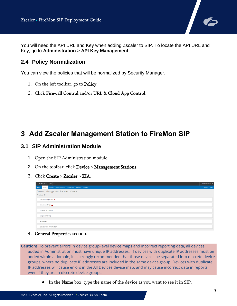

You will need the API URL and Key when adding Zscaler to SIP. To locate the API URL and Key, go to **Administration** > **API Key Management**.

#### <span id="page-8-0"></span>**2.4 Policy Normalization**

You can view the policies that will be normalized by Security Manager.

- 1. On the left toolbar, go to Policy.
- 2. Click Firewall Control and/or URL & Cloud App Control.

## <span id="page-8-1"></span>**3 Add Zscaler Management Station to FireMon SIP**

#### <span id="page-8-2"></span>**3.1 SIP Administration Module**

- 1. Open the SIP Administration module.
- 2. On the toolbar, click Device > Management Stations.
- 3. Click Create > Zscaler > ZIA.

| ADMINISTRATION -                                                                | ▲ FireMon FireMon →            |
|---------------------------------------------------------------------------------|--------------------------------|
| System - Divice - Access - FireMon Objects - Compliance - Workflow - Settings - | Tools $\bullet$ Help $\bullet$ |
| Device   Management Stations   Create                                           |                                |
| Product: ZIA                                                                    |                                |
| General Properties A                                                            |                                |
| Device Settings A                                                               |                                |
| ▶ Change Monitoring                                                             |                                |
| ▶ Log Monitoring                                                                |                                |
| Advanced                                                                        |                                |
| Device Pack Information                                                         |                                |

4. General Properties section.

**Caution!** To prevent errors in device group-level device maps and incorrect reporting data, all devices added in Administration must have unique IP addresses. If devices with duplicate IP addresses must be added within a domain, it is strongly recommended that those devices be separated into discrete device groups, where no duplicate IP addresses are included in the same device group. Devices with duplicate IP addresses will cause errors in the All Devices device map, and may cause incorrect data in reports, even if they are in discrete device groups.

• In the **Name** box, type the name of the device as you want to see it in SIP.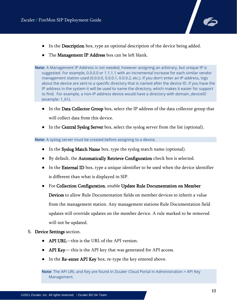

- In the Description box, type an optional description of the device being added.
- The Management IP Address box can be left blank.

**Note**: A Management IP Address is not needed, however assigning an arbitrary, but unique IP is suggested. For example, 0.0.0.0 or 1.1.1.1 with an incremental increase for each similar vendor management station used (0.0.0.0, 0.0.0.1, 0.0.0.2, etc.). If you don't enter an IP address, logs about the device are sent to a specific directory that is named after the device ID. If you have the IP address in the system it will be used to name the directory, which makes it easier for support to find. For example, a non-IP address device would have a directory with domain deviceID (example: 1\_61).

- In the Data Collector Group box, select the IP address of the data collector group that will collect data from this device.
- In the Central Syslog Server box, select the syslog server from the list (optional).

**Note**: A syslog server must be created before assigning to a device.

- In the Syslog Match Name box, type the syslog match name (optional).
- By default, the Automatically Retrieve Configuration check box is selected.
- In the **External ID** box, type a unique identifier to be used when the device identifier is different than what is displayed in SIP.
- For Collection Configuration, enable Update Rule Documentation on Member Devices to allow Rule Documentation fields on member devices to inherit a value from the management station. Any management stations Rule Documentation field updates will override updates on the member device. A rule marked to be removed will not be updated.
- 5. Device Settings section.
	- API URL—this is the URL of the API version.
	- API Key— this is the API key that was generated for API access.
	- In the Re-enter API Key box, re-type the key entered above.

**Note**: The API URL and Key are found in Zscaler Cloud Portal in Administration > API Key Management.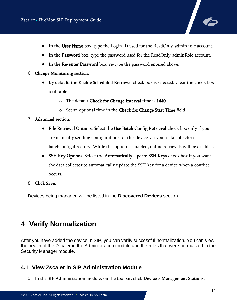- In the User Name box, type the Login ID used for the ReadOnly-adminRole account.
- In the Password box, type the password used for the ReadOnly-adminRole account.
- In the Re-enter Password box, re-type the password entered above.
- 6. Change Monitoring section.
	- By default, the Enable Scheduled Retrieval check box is selected. Clear the check box to disable.
		- o The default Check for Change Interval time is 1440.
		- o Set an optional time in the Check for Change Start Time field.
- 7. Advanced section.
	- File Retrieval Options: Select the Use Batch Config Retrieval check box only if you are manually sending configurations for this device via your data collector's batchconfig directory. While this option is enabled, online retrievals will be disabled.
	- SSH Key Options: Select the Automatically Update SSH Keys check box if you want the data collector to automatically update the SSH key for a device when a conflict occurs.
- 8. Click Save.

Devices being managed will be listed in the **Discovered Devices** section.

## <span id="page-10-0"></span>**4 Verify Normalization**

After you have added the device in SIP, you can verify successful normalization. You can view the health of the Zscaler in the Administration module and the rules that were normalized in the Security Manager module.

#### <span id="page-10-1"></span>**4.1 View Zscaler in SIP Administration Module**

1. In the SIP Administration module, on the toolbar, click Device > Management Stations.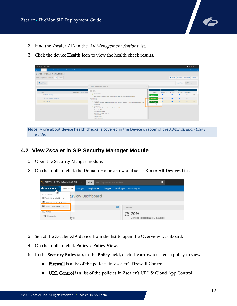

- 2. Find the Zscaler ZIA in the All Management Stations list.
- 3. Click the device Health icon to view the health check results.

| ADMINISTRATION -                                                                     |                                                                                                                                                                                                                                    |                      |                                         |                |                     |                                                      | 1 FireMon FireMon *        |
|--------------------------------------------------------------------------------------|------------------------------------------------------------------------------------------------------------------------------------------------------------------------------------------------------------------------------------|----------------------|-----------------------------------------|----------------|---------------------|------------------------------------------------------|----------------------------|
| Device * Access * FireMon Objects * Compliance * Workflow * Settings *<br>$System -$ |                                                                                                                                                                                                                                    |                      |                                         |                |                     |                                                      | Tools $\star$ Help $\star$ |
| Device   Management Stations                                                         |                                                                                                                                                                                                                                    |                      |                                         |                |                     |                                                      |                            |
| All Management Stations T > Save As                                                  |                                                                                                                                                                                                                                    |                      |                                         |                |                     | O Create v   ES Import   III Actions v   ES Export v |                            |
| <b>O</b> Add Filter                                                                  | Health Check Results for Zscaler_Zia                                                                                                                                                                                               |                      |                                         |                | <b>Reset Filter</b> | 3 results<br>in 0.15 seconds                         |                            |
| Description <sup>8</sup> Device Group<br>Name *                                      | <b>GENERAL</b>                                                                                                                                                                                                                     | Health               | Security  Policy Op Policy Pla Automati |                | License             |                                                      |                            |
| 1 of Viptela_vManage                                                                 | <b>O</b> DEVICE LICENSED<br><b>O</b> DC GROUP ASSIGNED<br>A data collector group has been assigned to this device (docx.lab.firemon.com-Group)                                                                                     | Healthy -            | ø                                       | $\overline{a}$ | п                   | $\Box$                                               | $\cdots$                   |
| 2 % Viptela_vManage_multi-tenant                                                     | <b>RETRIEVAL</b>                                                                                                                                                                                                                   | nealthy w            |                                         | $\overline{a}$ | ø                   | $\Box$                                               | $\cdots$                   |
| 3 of Zscaler_Zia                                                                     | <b>O</b> LAST RETRIEVAL<br>Successfully retrieved configuration (Manual) File count: 13, Total size: 324KB. Last updated on 6/11/21 at<br>11:05:52 PM                                                                              | Healthy <sub>T</sub> | D                                       | $\blacksquare$ | $\overline{a}$      | $\Box$                                               | $***$                      |
|                                                                                      | <b>O</b> LAST REVISION<br>The last revision for this device normalized successfully<br>Revision ID: <b>EL1</b><br>Type: Manual Retrieval<br>Date/Time: 6/11/2021 6:05 PM<br>User: firemon<br>Change Count: 0<br>Result: Normalized |                      |                                         |                |                     |                                                      |                            |

**Note**: More about device health checks is covered in the Device chapter of the *Administration User's Guide*.

#### <span id="page-11-0"></span>**4.2 View Zscaler in SIP Security Manager Module**

- 1. Open the Security Manger module.
- 2. On the toolbar, click the Domain Home arrow and select Go to All Devices List.

| SECURITY MANAGER                                       |                  | - 1            | $All -$            | Search by name or IP address |                  | Q                                               |
|--------------------------------------------------------|------------------|----------------|--------------------|------------------------------|------------------|-------------------------------------------------|
| $\bullet$ Enterprise $\bullet$<br>4my                  | Overview $\star$ | Policy $\star$ | Compliance $\star$ | Change $\star$               | Topology $\star$ | <b>Risk Analyzer</b>                            |
| <b>OUICK LINKS</b><br>Go to Domain Home                |                  |                | erview Dashboard   |                              |                  |                                                 |
| 僵 Go to Device Groups List<br>■ Go to All Devices List |                  |                |                    |                              | $\odot$          | CHANGE                                          |
| <b>NETWORK</b><br>▶ <b>●</b> Enterprise                | $ry\Theta$       |                |                    |                              |                  | <b>€ 70%</b><br>Devices Revised (Last 7 days) → |

- 3. Select the Zscaler ZIA device from the list to open the Overview Dashboard.
- 4. On the toolbar, click Policy > Policy View.
- 5. In the Security Rules tab, in the Policy field, click the arrow to select a policy to view.
	- Firewall is a list of the policies in Zscaler's Firewall Control
	- URL Control is a list of the policies in Zscaler's URL & Cloud App Control